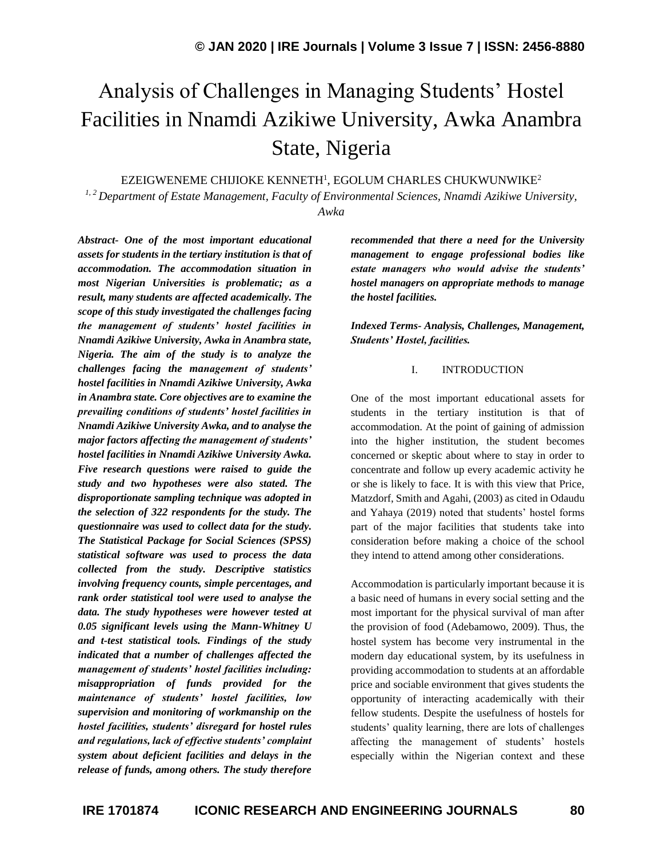# Analysis of Challenges in Managing Students' Hostel Facilities in Nnamdi Azikiwe University, Awka Anambra State, Nigeria

EZEIGWENEME CHIJIOKE KENNETH<sup>1</sup>, EGOLUM CHARLES CHUKWUNWIKE $^2$ 

*1, 2 Department of Estate Management, Faculty of Environmental Sciences, Nnamdi Azikiwe University, Awka*

*Abstract- One of the most important educational assets for students in the tertiary institution is that of accommodation. The accommodation situation in most Nigerian Universities is problematic; as a result, many students are affected academically. The scope of this study investigated the challenges facing the management of students' hostel facilities in Nnamdi Azikiwe University, Awka in Anambra state, Nigeria. The aim of the study is to analyze the challenges facing the management of students' hostel facilities in Nnamdi Azikiwe University, Awka in Anambra state. Core objectives are to examine the prevailing conditions of students' hostel facilities in Nnamdi Azikiwe University Awka, and to analyse the major factors affecting the management of students' hostel facilities in Nnamdi Azikiwe University Awka. Five research questions were raised to guide the study and two hypotheses were also stated. The disproportionate sampling technique was adopted in the selection of 322 respondents for the study. The questionnaire was used to collect data for the study. The Statistical Package for Social Sciences (SPSS) statistical software was used to process the data collected from the study. Descriptive statistics involving frequency counts, simple percentages, and rank order statistical tool were used to analyse the data. The study hypotheses were however tested at 0.05 significant levels using the Mann-Whitney U and t-test statistical tools. Findings of the study indicated that a number of challenges affected the management of students' hostel facilities including: misappropriation of funds provided for the maintenance of students' hostel facilities, low supervision and monitoring of workmanship on the hostel facilities, students' disregard for hostel rules and regulations, lack of effective students' complaint system about deficient facilities and delays in the release of funds, among others. The study therefore* 

*recommended that there a need for the University management to engage professional bodies like estate managers who would advise the students' hostel managers on appropriate methods to manage the hostel facilities.*

*Indexed Terms- Analysis, Challenges, Management, Students' Hostel, facilities.*

#### I. INTRODUCTION

One of the most important educational assets for students in the tertiary institution is that of accommodation. At the point of gaining of admission into the higher institution, the student becomes concerned or skeptic about where to stay in order to concentrate and follow up every academic activity he or she is likely to face. It is with this view that Price, Matzdorf, Smith and Agahi, (2003) as cited in Odaudu and Yahaya (2019) noted that students' hostel forms part of the major facilities that students take into consideration before making a choice of the school they intend to attend among other considerations.

Accommodation is particularly important because it is a basic need of humans in every social setting and the most important for the physical survival of man after the provision of food (Adebamowo, 2009). Thus, the hostel system has become very instrumental in the modern day educational system, by its usefulness in providing accommodation to students at an affordable price and sociable environment that gives students the opportunity of interacting academically with their fellow students. Despite the usefulness of hostels for students' quality learning, there are lots of challenges affecting the management of students' hostels especially within the Nigerian context and these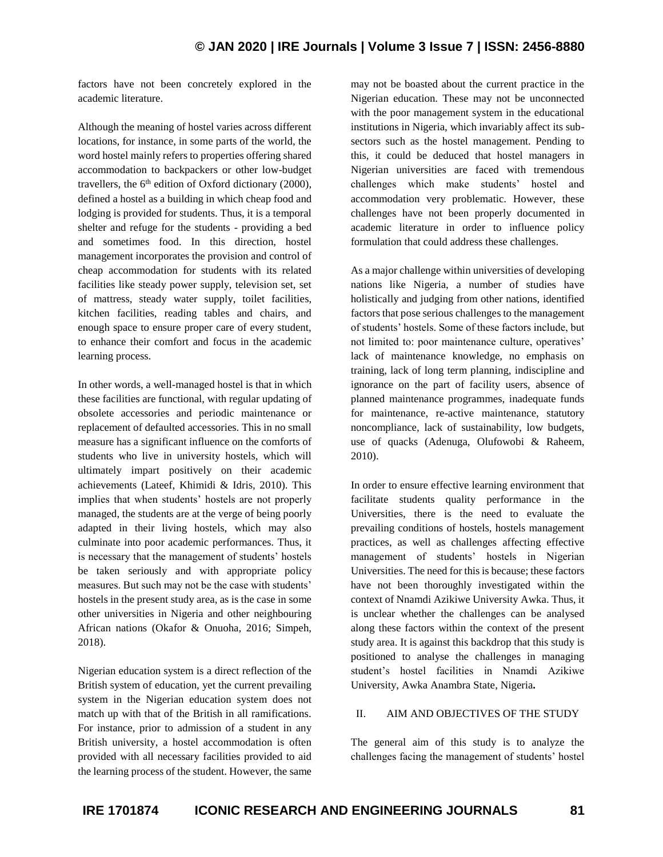factors have not been concretely explored in the academic literature.

Although the meaning of hostel varies across different locations, for instance, in some parts of the world, the word hostel mainly refers to properties offering shared accommodation to backpackers or other low-budget travellers, the  $6<sup>th</sup>$  edition of Oxford dictionary (2000), defined a hostel as a building in which cheap food and lodging is provided for students. Thus, it is a temporal shelter and refuge for the students - providing a bed and sometimes food. In this direction, hostel management incorporates the provision and control of cheap accommodation for students with its related facilities like steady power supply, television set, set of mattress, steady water supply, toilet facilities, kitchen facilities, reading tables and chairs, and enough space to ensure proper care of every student, to enhance their comfort and focus in the academic learning process.

In other words, a well-managed hostel is that in which these facilities are functional, with regular updating of obsolete accessories and periodic maintenance or replacement of defaulted accessories. This in no small measure has a significant influence on the comforts of students who live in university hostels, which will ultimately impart positively on their academic achievements (Lateef, Khimidi & Idris, 2010). This implies that when students' hostels are not properly managed, the students are at the verge of being poorly adapted in their living hostels, which may also culminate into poor academic performances. Thus, it is necessary that the management of students' hostels be taken seriously and with appropriate policy measures. But such may not be the case with students' hostels in the present study area, as is the case in some other universities in Nigeria and other neighbouring African nations (Okafor & Onuoha, 2016; Simpeh, 2018).

Nigerian education system is a direct reflection of the British system of education, yet the current prevailing system in the Nigerian education system does not match up with that of the British in all ramifications. For instance, prior to admission of a student in any British university, a hostel accommodation is often provided with all necessary facilities provided to aid the learning process of the student. However, the same

may not be boasted about the current practice in the Nigerian education. These may not be unconnected with the poor management system in the educational institutions in Nigeria, which invariably affect its subsectors such as the hostel management. Pending to this, it could be deduced that hostel managers in Nigerian universities are faced with tremendous challenges which make students' hostel and accommodation very problematic. However, these challenges have not been properly documented in academic literature in order to influence policy formulation that could address these challenges.

As a major challenge within universities of developing nations like Nigeria, a number of studies have holistically and judging from other nations, identified factors that pose serious challenges to the management of students' hostels. Some of these factors include, but not limited to: poor maintenance culture, operatives' lack of maintenance knowledge, no emphasis on training, lack of long term planning, indiscipline and ignorance on the part of facility users, absence of planned maintenance programmes, inadequate funds for maintenance, re-active maintenance, statutory noncompliance, lack of sustainability, low budgets, use of quacks (Adenuga, Olufowobi & Raheem, 2010).

In order to ensure effective learning environment that facilitate students quality performance in the Universities, there is the need to evaluate the prevailing conditions of hostels, hostels management practices, as well as challenges affecting effective management of students' hostels in Nigerian Universities. The need for this is because; these factors have not been thoroughly investigated within the context of Nnamdi Azikiwe University Awka. Thus, it is unclear whether the challenges can be analysed along these factors within the context of the present study area. It is against this backdrop that this study is positioned to analyse the challenges in managing student's hostel facilities in Nnamdi Azikiwe University, Awka Anambra State, Nigeria**.**

## II. AIM AND OBJECTIVES OF THE STUDY

The general aim of this study is to analyze the challenges facing the management of students' hostel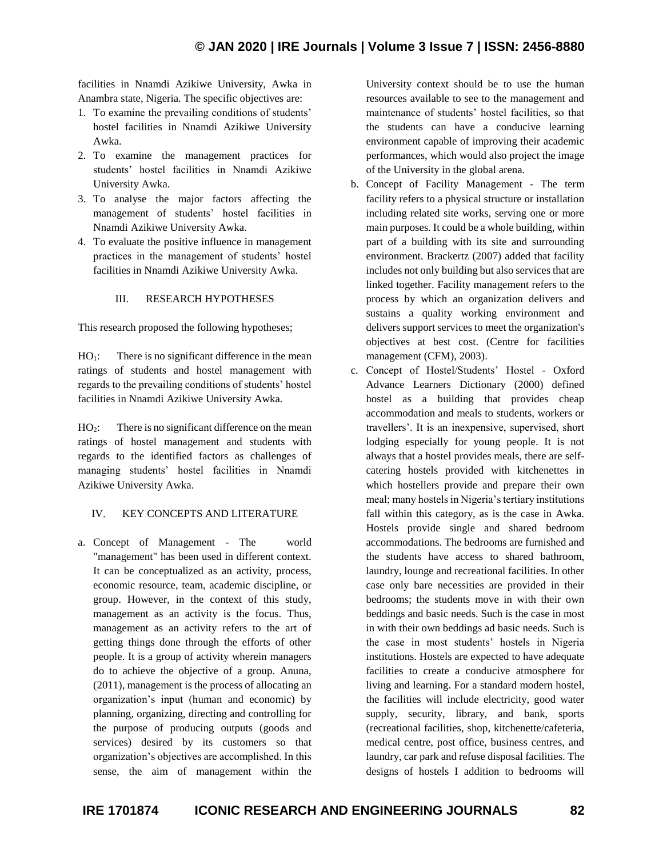facilities in Nnamdi Azikiwe University, Awka in Anambra state, Nigeria. The specific objectives are:

- 1. To examine the prevailing conditions of students' hostel facilities in Nnamdi Azikiwe University Awka.
- 2. To examine the management practices for students' hostel facilities in Nnamdi Azikiwe University Awka.
- 3. To analyse the major factors affecting the management of students' hostel facilities in Nnamdi Azikiwe University Awka.
- 4. To evaluate the positive influence in management practices in the management of students' hostel facilities in Nnamdi Azikiwe University Awka.

## III. RESEARCH HYPOTHESES

This research proposed the following hypotheses;

 $HO<sub>1</sub>$ : There is no significant difference in the mean ratings of students and hostel management with regards to the prevailing conditions of students' hostel facilities in Nnamdi Azikiwe University Awka.

HO<sub>2</sub>: There is no significant difference on the mean ratings of hostel management and students with regards to the identified factors as challenges of managing students' hostel facilities in Nnamdi Azikiwe University Awka.

## IV. KEY CONCEPTS AND LITERATURE

a. Concept of Management - The world "management" has been used in different context. It can be conceptualized as an activity, process, economic resource, team, academic discipline, or group. However, in the context of this study, management as an activity is the focus. Thus, management as an activity refers to the art of getting things done through the efforts of other people. It is a group of activity wherein managers do to achieve the objective of a group. Anuna, (2011), management is the process of allocating an organization's input (human and economic) by planning, organizing, directing and controlling for the purpose of producing outputs (goods and services) desired by its customers so that organization's objectives are accomplished. In this sense, the aim of management within the

University context should be to use the human resources available to see to the management and maintenance of students' hostel facilities, so that the students can have a conducive learning environment capable of improving their academic performances, which would also project the image of the University in the global arena.

- b. Concept of Facility Management The term facility refers to a physical structure or installation including related site works, serving one or more main purposes. It could be a whole building, within part of a building with its site and surrounding environment. Brackertz (2007) added that facility includes not only building but also services that are linked together. Facility management refers to the process by which an organization delivers and sustains a quality working environment and delivers support services to meet the organization's objectives at best cost. (Centre for facilities management (CFM), 2003).
- c. Concept of Hostel/Students' Hostel Oxford Advance Learners Dictionary (2000) defined hostel as a building that provides cheap accommodation and meals to students, workers or travellers'. It is an inexpensive, supervised, short lodging especially for young people. It is not always that a hostel provides meals, there are selfcatering hostels provided with kitchenettes in which hostellers provide and prepare their own meal; many hostels in Nigeria's tertiary institutions fall within this category, as is the case in Awka. Hostels provide single and shared bedroom accommodations. The bedrooms are furnished and the students have access to shared bathroom, laundry, lounge and recreational facilities. In other case only bare necessities are provided in their bedrooms; the students move in with their own beddings and basic needs. Such is the case in most in with their own beddings ad basic needs. Such is the case in most students' hostels in Nigeria institutions. Hostels are expected to have adequate facilities to create a conducive atmosphere for living and learning. For a standard modern hostel, the facilities will include electricity, good water supply, security, library, and bank, sports (recreational facilities, shop, kitchenette/cafeteria, medical centre, post office, business centres, and laundry, car park and refuse disposal facilities. The designs of hostels I addition to bedrooms will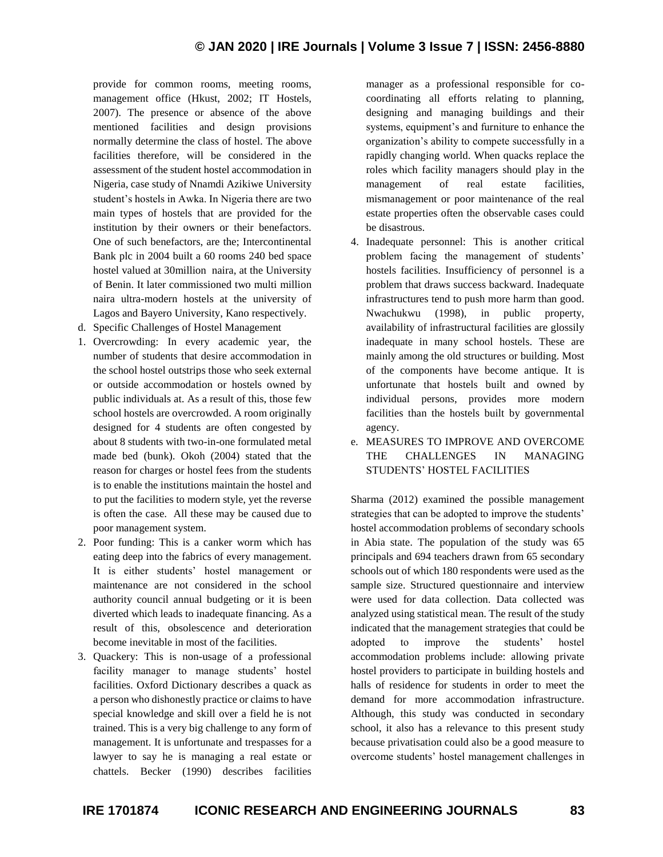provide for common rooms, meeting rooms, management office (Hkust, 2002; IT Hostels, 2007). The presence or absence of the above mentioned facilities and design provisions normally determine the class of hostel. The above facilities therefore, will be considered in the assessment of the student hostel accommodation in Nigeria, case study of Nnamdi Azikiwe University student's hostels in Awka. In Nigeria there are two main types of hostels that are provided for the institution by their owners or their benefactors. One of such benefactors, are the; Intercontinental Bank plc in 2004 built a 60 rooms 240 bed space hostel valued at 30million naira, at the University of Benin. It later commissioned two multi million naira ultra-modern hostels at the university of Lagos and Bayero University, Kano respectively.

- d. Specific Challenges of Hostel Management
- 1. Overcrowding: In every academic year, the number of students that desire accommodation in the school hostel outstrips those who seek external or outside accommodation or hostels owned by public individuals at. As a result of this, those few school hostels are overcrowded. A room originally designed for 4 students are often congested by about 8 students with two-in-one formulated metal made bed (bunk). Okoh (2004) stated that the reason for charges or hostel fees from the students is to enable the institutions maintain the hostel and to put the facilities to modern style, yet the reverse is often the case. All these may be caused due to poor management system.
- 2. Poor funding: This is a canker worm which has eating deep into the fabrics of every management. It is either students' hostel management or maintenance are not considered in the school authority council annual budgeting or it is been diverted which leads to inadequate financing. As a result of this, obsolescence and deterioration become inevitable in most of the facilities.
- 3. Quackery: This is non-usage of a professional facility manager to manage students' hostel facilities. Oxford Dictionary describes a quack as a person who dishonestly practice or claims to have special knowledge and skill over a field he is not trained. This is a very big challenge to any form of management. It is unfortunate and trespasses for a lawyer to say he is managing a real estate or chattels. Becker (1990) describes facilities

manager as a professional responsible for cocoordinating all efforts relating to planning, designing and managing buildings and their systems, equipment's and furniture to enhance the organization's ability to compete successfully in a rapidly changing world. When quacks replace the roles which facility managers should play in the management of real estate facilities, mismanagement or poor maintenance of the real estate properties often the observable cases could be disastrous.

- 4. Inadequate personnel: This is another critical problem facing the management of students' hostels facilities. Insufficiency of personnel is a problem that draws success backward. Inadequate infrastructures tend to push more harm than good. Nwachukwu (1998), in public property, availability of infrastructural facilities are glossily inadequate in many school hostels. These are mainly among the old structures or building. Most of the components have become antique. It is unfortunate that hostels built and owned by individual persons, provides more modern facilities than the hostels built by governmental agency.
- e. MEASURES TO IMPROVE AND OVERCOME THE CHALLENGES IN MANAGING STUDENTS' HOSTEL FACILITIES

Sharma (2012) examined the possible management strategies that can be adopted to improve the students' hostel accommodation problems of secondary schools in Abia state. The population of the study was 65 principals and 694 teachers drawn from 65 secondary schools out of which 180 respondents were used as the sample size. Structured questionnaire and interview were used for data collection. Data collected was analyzed using statistical mean. The result of the study indicated that the management strategies that could be adopted to improve the students' hostel accommodation problems include: allowing private hostel providers to participate in building hostels and halls of residence for students in order to meet the demand for more accommodation infrastructure. Although, this study was conducted in secondary school, it also has a relevance to this present study because privatisation could also be a good measure to overcome students' hostel management challenges in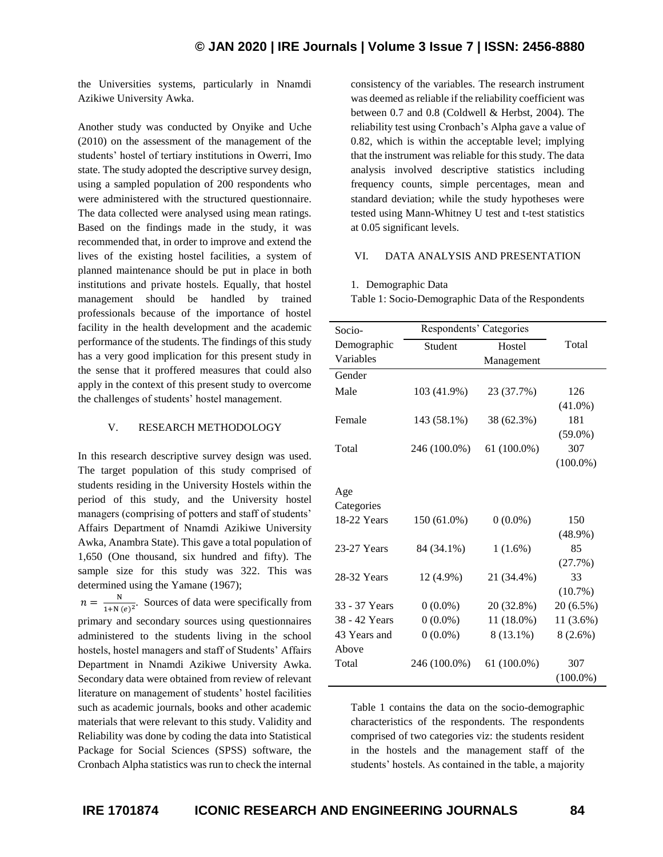the Universities systems, particularly in Nnamdi Azikiwe University Awka.

Another study was conducted by Onyike and Uche (2010) on the assessment of the management of the students' hostel of tertiary institutions in Owerri, Imo state. The study adopted the descriptive survey design, using a sampled population of 200 respondents who were administered with the structured questionnaire. The data collected were analysed using mean ratings. Based on the findings made in the study, it was recommended that, in order to improve and extend the lives of the existing hostel facilities, a system of planned maintenance should be put in place in both institutions and private hostels. Equally, that hostel management should be handled by trained professionals because of the importance of hostel facility in the health development and the academic performance of the students. The findings of this study has a very good implication for this present study in the sense that it proffered measures that could also apply in the context of this present study to overcome the challenges of students' hostel management.

#### V. RESEARCH METHODOLOGY

In this research descriptive survey design was used. The target population of this study comprised of students residing in the University Hostels within the period of this study, and the University hostel managers (comprising of potters and staff of students' Affairs Department of Nnamdi Azikiwe University Awka, Anambra State). This gave a total population of 1,650 (One thousand, six hundred and fifty). The sample size for this study was 322. This was determined using the Yamane (1967);

 $n = \frac{N}{1 + N}$  $\frac{N}{1+N(e)^2}$ . Sources of data were specifically from primary and secondary sources using questionnaires administered to the students living in the school hostels, hostel managers and staff of Students' Affairs Department in Nnamdi Azikiwe University Awka. Secondary data were obtained from review of relevant literature on management of students' hostel facilities such as academic journals, books and other academic materials that were relevant to this study. Validity and Reliability was done by coding the data into Statistical Package for Social Sciences (SPSS) software, the Cronbach Alpha statistics was run to check the internal

consistency of the variables. The research instrument was deemed as reliable if the reliability coefficient was between 0.7 and 0.8 (Coldwell & Herbst, 2004). The reliability test using Cronbach's Alpha gave a value of 0.82, which is within the acceptable level; implying that the instrument was reliable for this study. The data analysis involved descriptive statistics including frequency counts, simple percentages, mean and standard deviation; while the study hypotheses were tested using Mann-Whitney U test and t-test statistics at 0.05 significant levels.

## VI. DATA ANALYSIS AND PRESENTATION

#### 1. Demographic Data

Table 1: Socio-Demographic Data of the Respondents

| Socio-        | Respondents' Categories |               |             |
|---------------|-------------------------|---------------|-------------|
| Demographic   | Student                 | Hostel        | Total       |
| Variables     |                         | Management    |             |
| Gender        |                         |               |             |
| Male          | 103 (41.9%)             | 23 (37.7%)    | 126         |
|               |                         |               | $(41.0\%)$  |
| Female        | 143 (58.1%)             | 38 (62.3%)    | 181         |
|               |                         |               | $(59.0\%)$  |
| Total         | 246 (100.0%)            | 61 (100.0%)   | 307         |
|               |                         |               | $(100.0\%)$ |
|               |                         |               |             |
| Age           |                         |               |             |
| Categories    |                         |               |             |
| 18-22 Years   | 150 (61.0%)             | $0(0.0\%)$    | 150         |
|               |                         |               | $(48.9\%)$  |
| 23-27 Years   | 84 (34.1%)              | $1(1.6\%)$    | 85          |
|               |                         |               | (27.7%)     |
| 28-32 Years   | 12 (4.9%)               | 21 (34.4%)    | 33          |
|               |                         |               | (10.7%)     |
| 33 - 37 Years | $0(0.0\%)$              | 20 (32.8%)    | $20(6.5\%)$ |
| 38 - 42 Years | $0(0.0\%)$              | 11 (18.0%)    | 11 (3.6%)   |
| 43 Years and  | $0(0.0\%)$              | 8 (13.1%)     | $8(2.6\%)$  |
| Above         |                         |               |             |
| Total         | 246 (100.0%)            | $61(100.0\%)$ | 307         |
|               |                         |               | $(100.0\%)$ |

Table 1 contains the data on the socio-demographic characteristics of the respondents. The respondents comprised of two categories viz: the students resident in the hostels and the management staff of the students' hostels. As contained in the table, a majority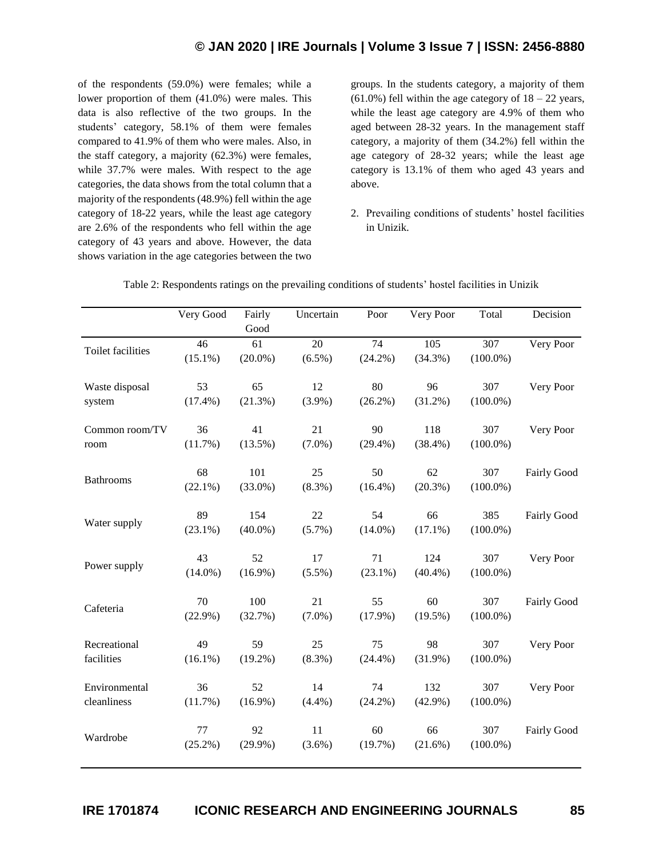of the respondents (59.0%) were females; while a lower proportion of them (41.0%) were males. This data is also reflective of the two groups. In the students' category, 58.1% of them were females compared to 41.9% of them who were males. Also, in the staff category, a majority (62.3%) were females, while 37.7% were males. With respect to the age categories, the data shows from the total column that a majority of the respondents (48.9%) fell within the age category of 18-22 years, while the least age category are 2.6% of the respondents who fell within the age category of 43 years and above. However, the data shows variation in the age categories between the two

groups. In the students category, a majority of them  $(61.0\%)$  fell within the age category of  $18 - 22$  years, while the least age category are 4.9% of them who aged between 28-32 years. In the management staff category, a majority of them (34.2%) fell within the age category of 28-32 years; while the least age category is 13.1% of them who aged 43 years and above.

2. Prevailing conditions of students' hostel facilities in Unizik.

|                   | Very Good  | Fairly     | Uncertain       | Poor            | Very Poor  | Total       | Decision    |
|-------------------|------------|------------|-----------------|-----------------|------------|-------------|-------------|
|                   |            | Good       |                 |                 |            |             |             |
| Toilet facilities | 46         | 61         | $\overline{20}$ | $\overline{74}$ | 105        | 307         | Very Poor   |
|                   | $(15.1\%)$ | $(20.0\%)$ | $(6.5\%)$       | $(24.2\%)$      | $(34.3\%)$ | $(100.0\%)$ |             |
| Waste disposal    | 53         | 65         | 12              | 80              | 96         | 307         | Very Poor   |
| system            | $(17.4\%)$ | (21.3%)    | $(3.9\%)$       | $(26.2\%)$      | $(31.2\%)$ | $(100.0\%)$ |             |
| Common room/TV    | 36         | 41         | 21              | 90              | 118        | 307         | Very Poor   |
| room              | (11.7%)    | $(13.5\%)$ | $(7.0\%)$       | $(29.4\%)$      | $(38.4\%)$ | $(100.0\%)$ |             |
|                   | 68         | 101        | 25              | 50              | 62         | 307         | Fairly Good |
| <b>Bathrooms</b>  | $(22.1\%)$ | $(33.0\%)$ | $(8.3\%)$       | $(16.4\%)$      | $(20.3\%)$ | $(100.0\%)$ |             |
|                   | 89         | 154        | 22              | 54              | 66         | 385         | Fairly Good |
| Water supply      | $(23.1\%)$ | $(40.0\%)$ | $(5.7\%)$       | $(14.0\%)$      | $(17.1\%)$ | $(100.0\%)$ |             |
|                   | 43         | 52         | 17              | 71              | 124        | 307         | Very Poor   |
| Power supply      | $(14.0\%)$ | $(16.9\%)$ | $(5.5\%)$       | $(23.1\%)$      | $(40.4\%)$ | $(100.0\%)$ |             |
|                   | 70         | 100        | 21              | 55              | 60         | 307         | Fairly Good |
| Cafeteria         | $(22.9\%)$ | (32.7%)    | $(7.0\%)$       | $(17.9\%)$      | $(19.5\%)$ | $(100.0\%)$ |             |
| Recreational      | 49         | 59         | 25              | 75              | 98         | 307         | Very Poor   |
| facilities        | $(16.1\%)$ | $(19.2\%)$ | $(8.3\%)$       | (24.4%)         | $(31.9\%)$ | $(100.0\%)$ |             |
| Environmental     | 36         | 52         | 14              | 74              | 132        | 307         | Very Poor   |
| cleanliness       | $(11.7\%)$ | $(16.9\%)$ | (4.4%)          | $(24.2\%)$      | $(42.9\%)$ | $(100.0\%)$ |             |
|                   | 77         | 92         | 11              | 60              | 66         | 307         | Fairly Good |
| Wardrobe          | $(25.2\%)$ | $(29.9\%)$ | $(3.6\%)$       | (19.7%)         | $(21.6\%)$ | $(100.0\%)$ |             |
|                   |            |            |                 |                 |            |             |             |

Table 2: Respondents ratings on the prevailing conditions of students' hostel facilities in Unizik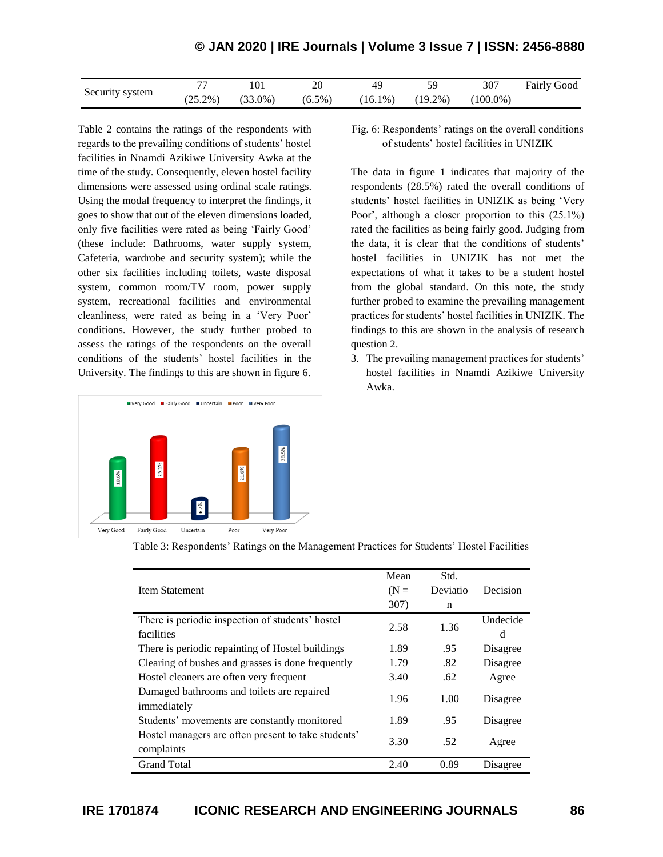|                 |            | 101        |           | 40         |            | 307         | <b>Fairly Good</b> |
|-----------------|------------|------------|-----------|------------|------------|-------------|--------------------|
| Security system | $(25.2\%)$ | $(33.0\%)$ | $(6.5\%)$ | $(16.1\%)$ | $(19.2\%)$ | $(100.0\%)$ |                    |

Table 2 contains the ratings of the respondents with regards to the prevailing conditions of students' hostel facilities in Nnamdi Azikiwe University Awka at the time of the study. Consequently, eleven hostel facility dimensions were assessed using ordinal scale ratings. Using the modal frequency to interpret the findings, it goes to show that out of the eleven dimensions loaded, only five facilities were rated as being 'Fairly Good' (these include: Bathrooms, water supply system, Cafeteria, wardrobe and security system); while the other six facilities including toilets, waste disposal system, common room/TV room, power supply system, recreational facilities and environmental cleanliness, were rated as being in a 'Very Poor' conditions. However, the study further probed to assess the ratings of the respondents on the overall conditions of the students' hostel facilities in the University. The findings to this are shown in figure 6.



Fig. 6: Respondents' ratings on the overall conditions of students' hostel facilities in UNIZIK

The data in figure 1 indicates that majority of the respondents (28.5%) rated the overall conditions of students' hostel facilities in UNIZIK as being 'Very Poor', although a closer proportion to this (25.1%) rated the facilities as being fairly good. Judging from the data, it is clear that the conditions of students' hostel facilities in UNIZIK has not met the expectations of what it takes to be a student hostel from the global standard. On this note, the study further probed to examine the prevailing management practices for students' hostel facilities in UNIZIK. The findings to this are shown in the analysis of research question 2.

3. The prevailing management practices for students' hostel facilities in Nnamdi Azikiwe University Awka.

|                                                                   | Mean   | Std.     |          |
|-------------------------------------------------------------------|--------|----------|----------|
| <b>Item Statement</b>                                             | $(N =$ | Deviatio | Decision |
|                                                                   | 307)   | n        |          |
| There is periodic inspection of students' hostel                  | 2.58   | 1.36     | Undecide |
| facilities                                                        |        |          | d        |
| There is periodic repainting of Hostel buildings                  | 1.89   | .95      | Disagree |
| Clearing of bushes and grasses is done frequently                 | 1.79   | .82      | Disagree |
| Hostel cleaners are often very frequent                           | 3.40   | .62      | Agree    |
| Damaged bathrooms and toilets are repaired<br>immediately         | 1.96   | 1.00     | Disagree |
| Students' movements are constantly monitored                      | 1.89   | .95      | Disagree |
| Hostel managers are often present to take students'<br>complaints | 3.30   | .52      | Agree    |
| <b>Grand Total</b>                                                | 2.40   | 0.89     | Disagree |
|                                                                   |        |          |          |

Table 3: Respondents' Ratings on the Management Practices for Students' Hostel Facilities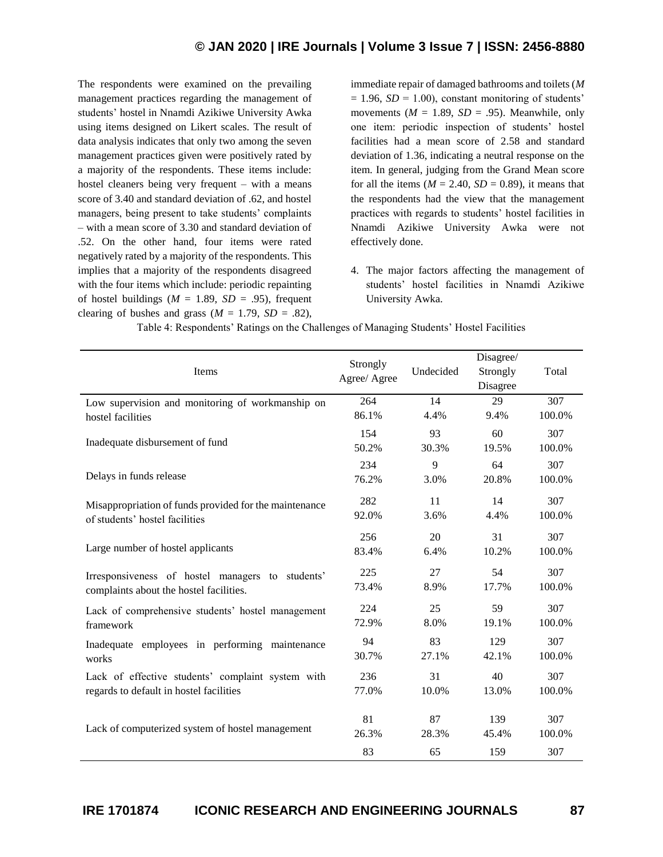# **© JAN 2020 | IRE Journals | Volume 3 Issue 7 | ISSN: 2456-8880**

The respondents were examined on the prevailing management practices regarding the management of students' hostel in Nnamdi Azikiwe University Awka using items designed on Likert scales. The result of data analysis indicates that only two among the seven management practices given were positively rated by a majority of the respondents. These items include: hostel cleaners being very frequent – with a means score of 3.40 and standard deviation of .62, and hostel managers, being present to take students' complaints – with a mean score of 3.30 and standard deviation of .52. On the other hand, four items were rated negatively rated by a majority of the respondents. This implies that a majority of the respondents disagreed with the four items which include: periodic repainting of hostel buildings ( $M = 1.89$ ,  $SD = .95$ ), frequent clearing of bushes and grass ( $M = 1.79$ ,  $SD = .82$ ),

immediate repair of damaged bathrooms and toilets (*M*  $= 1.96$ , *SD* = 1.00), constant monitoring of students' movements ( $M = 1.89$ ,  $SD = .95$ ). Meanwhile, only one item: periodic inspection of students' hostel facilities had a mean score of 2.58 and standard deviation of 1.36, indicating a neutral response on the item. In general, judging from the Grand Mean score for all the items  $(M = 2.40, SD = 0.89)$ , it means that the respondents had the view that the management practices with regards to students' hostel facilities in Nnamdi Azikiwe University Awka were not effectively done.

4. The major factors affecting the management of students' hostel facilities in Nnamdi Azikiwe University Awka.

| Items                                                                                    | Strongly<br>Agree/ Agree | Undecided   | Disagree/<br>Strongly<br>Disagree | Total         |  |
|------------------------------------------------------------------------------------------|--------------------------|-------------|-----------------------------------|---------------|--|
| Low supervision and monitoring of workmanship on                                         | 264<br>86.1%             | 14<br>4.4%  | 29<br>9.4%                        | 307<br>100.0% |  |
| hostel facilities                                                                        |                          |             |                                   |               |  |
| Inadequate disbursement of fund                                                          | 154<br>50.2%             | 93<br>30.3% | 60<br>19.5%                       | 307<br>100.0% |  |
| Delays in funds release                                                                  | 234<br>76.2%             | 9<br>3.0%   | 64<br>20.8%                       | 307<br>100.0% |  |
| Misappropriation of funds provided for the maintenance<br>of students' hostel facilities | 282<br>92.0%             | 11<br>3.6%  | 14<br>4.4%                        | 307<br>100.0% |  |
|                                                                                          | 256                      | 20          | 31                                | 307           |  |
| Large number of hostel applicants                                                        | 83.4%                    | 6.4%        | 10.2%                             | 100.0%        |  |
| Irresponsiveness of hostel managers to students'                                         | 225                      | 27          | 54                                | 307           |  |
| complaints about the hostel facilities.                                                  | 73.4%                    | 8.9%        | 17.7%                             | 100.0%        |  |
| Lack of comprehensive students' hostel management                                        | 224                      | 25          | 59                                | 307           |  |
| framework                                                                                | 72.9%                    | 8.0%        | 19.1%                             | 100.0%        |  |
| Inadequate employees in performing maintenance                                           | 94                       | 83          | 129                               | 307           |  |
| works                                                                                    | 30.7%                    | 27.1%       | 42.1%                             | 100.0%        |  |
| Lack of effective students' complaint system with                                        | 236                      | 31          | 40                                | 307           |  |
| regards to default in hostel facilities                                                  | 77.0%                    | 10.0%       | 13.0%                             | 100.0%        |  |
|                                                                                          | 81                       | 87          | 139                               | 307           |  |
| Lack of computerized system of hostel management                                         | 26.3%                    | 28.3%       | 45.4%                             | 100.0%        |  |
|                                                                                          | 83                       | 65          | 159                               | 307           |  |

Table 4: Respondents' Ratings on the Challenges of Managing Students' Hostel Facilities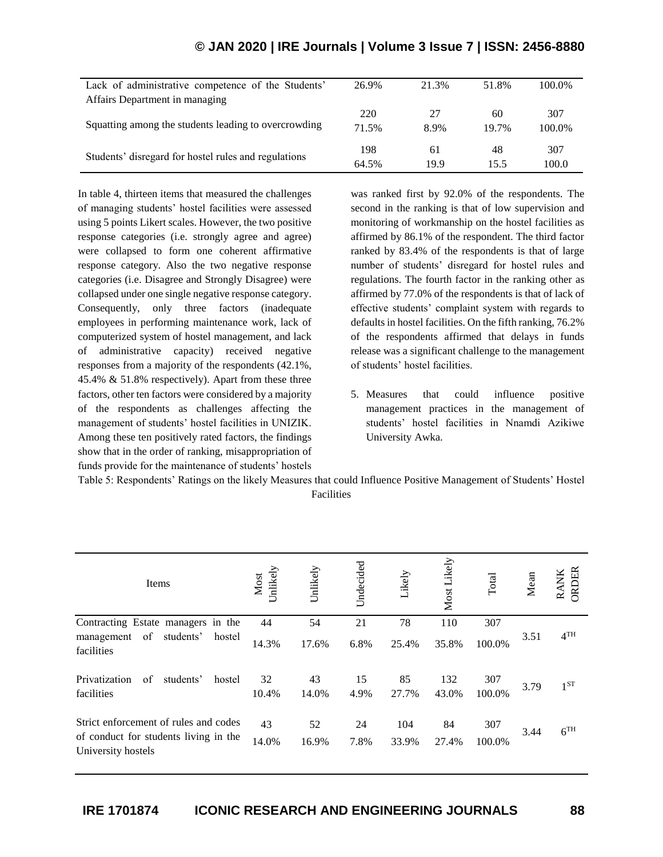| Lack of administrative competence of the Students'   | 26.9% | 21.3% | 51.8% | 100.0% |
|------------------------------------------------------|-------|-------|-------|--------|
| Affairs Department in managing                       |       |       |       |        |
|                                                      | 220   | 27    | 60    | 307    |
| Squatting among the students leading to overcrowding | 71.5% | 8.9%  | 19.7% | 100.0% |
|                                                      | 198   | 61    | 48    | 307    |
| Students' disregard for hostel rules and regulations | 64.5% | 19.9  | 15.5  | 100.0  |

# **© JAN 2020 | IRE Journals | Volume 3 Issue 7 | ISSN: 2456-8880**

In table 4, thirteen items that measured the challenges of managing students' hostel facilities were assessed using 5 points Likert scales. However, the two positive response categories (i.e. strongly agree and agree) were collapsed to form one coherent affirmative response category. Also the two negative response categories (i.e. Disagree and Strongly Disagree) were collapsed under one single negative response category. Consequently, only three factors (inadequate employees in performing maintenance work, lack of computerized system of hostel management, and lack of administrative capacity) received negative responses from a majority of the respondents (42.1%, 45.4% & 51.8% respectively). Apart from these three factors, other ten factors were considered by a majority of the respondents as challenges affecting the management of students' hostel facilities in UNIZIK. Among these ten positively rated factors, the findings show that in the order of ranking, misappropriation of funds provide for the maintenance of students' hostels

was ranked first by 92.0% of the respondents. The second in the ranking is that of low supervision and monitoring of workmanship on the hostel facilities as affirmed by 86.1% of the respondent. The third factor ranked by 83.4% of the respondents is that of large number of students' disregard for hostel rules and regulations. The fourth factor in the ranking other as affirmed by 77.0% of the respondents is that of lack of effective students' complaint system with regards to defaults in hostel facilities. On the fifth ranking, 76.2% of the respondents affirmed that delays in funds release was a significant challenge to the management of students' hostel facilities.

5. Measures that could influence positive management practices in the management of students' hostel facilities in Nnamdi Azikiwe University Awka.

| Table 5: Respondents' Ratings on the likely Measures that could Influence Positive Management of Students' Hostel |  |
|-------------------------------------------------------------------------------------------------------------------|--|
| Facilities                                                                                                        |  |

| Items                                                                                                | Unlikely<br>Most | Unlikely    | Undecided  | Likely       | Most Likely  | Total         | Mean | ORDER<br><b>RANK</b> |
|------------------------------------------------------------------------------------------------------|------------------|-------------|------------|--------------|--------------|---------------|------|----------------------|
| Contracting Estate managers in the                                                                   | 44               | 54          | 21         | 78           | 110          | 307           |      |                      |
| of<br>students'<br>hostel<br>management<br>facilities                                                | 14.3%            | 17.6%       | 6.8%       | 25.4%        | 35.8%        | 100.0%        | 3.51 | 4 <sup>TH</sup>      |
| Privatization<br>of<br>students'<br>hostel<br>facilities                                             | 32<br>10.4%      | 43<br>14.0% | 15<br>4.9% | 85<br>27.7%  | 132<br>43.0% | 307<br>100.0% | 3.79 | $1^{ST}$             |
| Strict enforcement of rules and codes<br>of conduct for students living in the<br>University hostels | 43<br>14.0%      | 52<br>16.9% | 24<br>7.8% | 104<br>33.9% | 84<br>27.4%  | 307<br>100.0% | 3.44 | 6 <sup>TH</sup>      |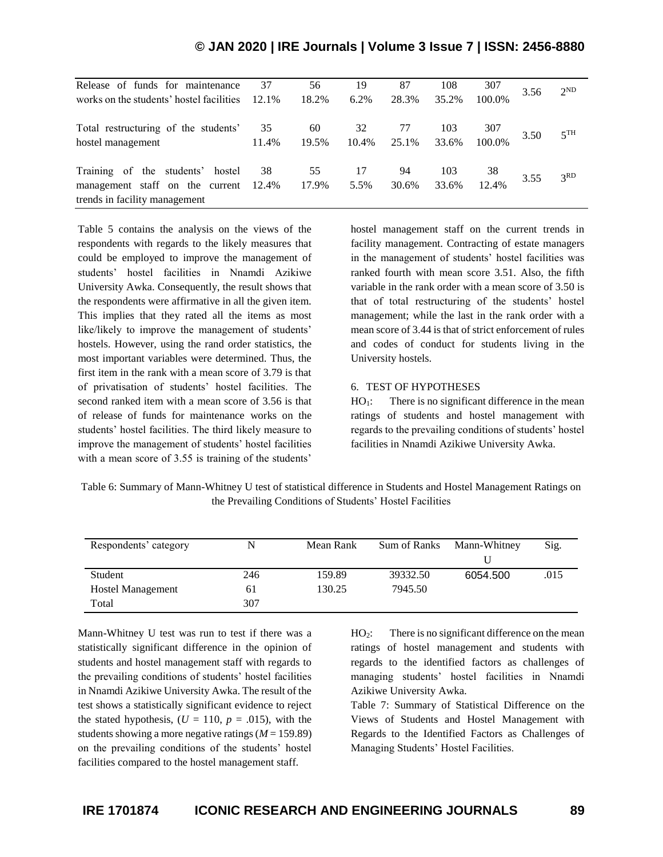| Release of funds for maintenance<br>works on the students' hostel facilities                            | 37<br>$12.1\%$ | 56<br>18.2% | 19<br>6.2%  | 87<br>28.3% | 108<br>35.2% | 307<br>100.0% | 3.56 | $2^{ND}$        |
|---------------------------------------------------------------------------------------------------------|----------------|-------------|-------------|-------------|--------------|---------------|------|-----------------|
| Total restructuring of the students'<br>hostel management                                               | 35<br>11.4%    | 60<br>19.5% | 32<br>10.4% | 77<br>25.1% | 103<br>33.6% | 307<br>100.0% | 3.50 | 5 <sup>TH</sup> |
| Training of the students'<br>hostel<br>management staff on the current<br>trends in facility management | 38<br>12.4%    | 55<br>17.9% | 17<br>5.5%  | 94<br>30.6% | 103<br>33.6% | 38<br>12.4%   | 3.55 | 3 <sup>RD</sup> |

**© JAN 2020 | IRE Journals | Volume 3 Issue 7 | ISSN: 2456-8880**

Table 5 contains the analysis on the views of the respondents with regards to the likely measures that could be employed to improve the management of students' hostel facilities in Nnamdi Azikiwe University Awka. Consequently, the result shows that the respondents were affirmative in all the given item. This implies that they rated all the items as most like/likely to improve the management of students' hostels. However, using the rand order statistics, the most important variables were determined. Thus, the first item in the rank with a mean score of 3.79 is that of privatisation of students' hostel facilities. The second ranked item with a mean score of 3.56 is that of release of funds for maintenance works on the students' hostel facilities. The third likely measure to improve the management of students' hostel facilities with a mean score of 3.55 is training of the students'

hostel management staff on the current trends in facility management. Contracting of estate managers in the management of students' hostel facilities was ranked fourth with mean score 3.51. Also, the fifth variable in the rank order with a mean score of 3.50 is that of total restructuring of the students' hostel management; while the last in the rank order with a mean score of 3.44 is that of strict enforcement of rules and codes of conduct for students living in the University hostels.

## 6. TEST OF HYPOTHESES

 $HO<sub>1</sub>$ : There is no significant difference in the mean ratings of students and hostel management with regards to the prevailing conditions of students' hostel facilities in Nnamdi Azikiwe University Awka.

Table 6: Summary of Mann-Whitney U test of statistical difference in Students and Hostel Management Ratings on the Prevailing Conditions of Students' Hostel Facilities

| Respondents' category    |     | Mean Rank | Sum of Ranks | Mann-Whitney | Sig. |
|--------------------------|-----|-----------|--------------|--------------|------|
| Student                  | 246 | 159.89    | 39332.50     | 6054.500     | .015 |
| <b>Hostel Management</b> | 61  | 130.25    | 7945.50      |              |      |
| Total                    | 307 |           |              |              |      |

Mann-Whitney U test was run to test if there was a statistically significant difference in the opinion of students and hostel management staff with regards to the prevailing conditions of students' hostel facilities in Nnamdi Azikiwe University Awka. The result of the test shows a statistically significant evidence to reject the stated hypothesis,  $(U = 110, p = .015)$ , with the students showing a more negative ratings (*M* = 159.89) on the prevailing conditions of the students' hostel facilities compared to the hostel management staff.

HO2: There is no significant difference on the mean ratings of hostel management and students with regards to the identified factors as challenges of managing students' hostel facilities in Nnamdi Azikiwe University Awka.

Table 7: Summary of Statistical Difference on the Views of Students and Hostel Management with Regards to the Identified Factors as Challenges of Managing Students' Hostel Facilities.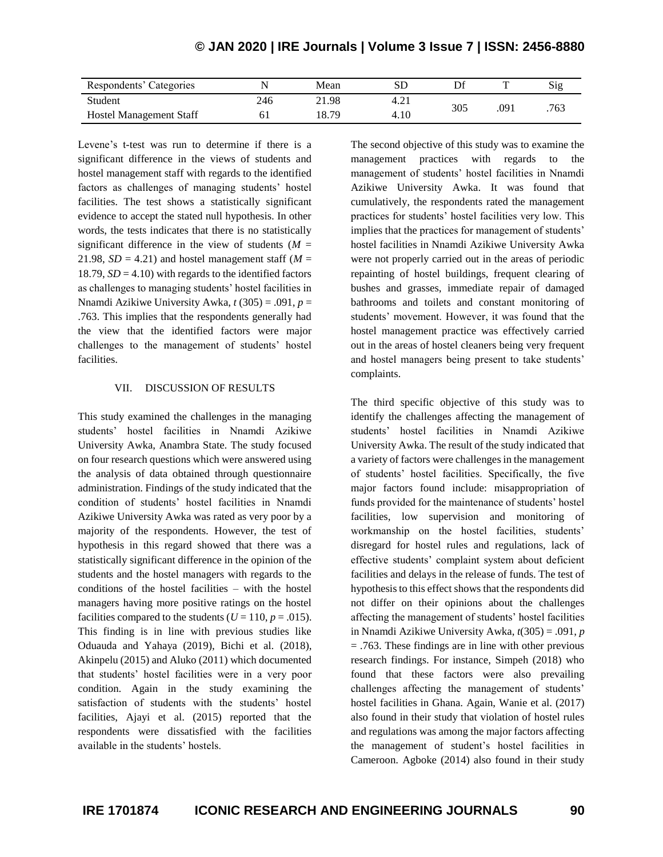| Respondents' Categories        |     | Mean  | SГ   |     |      | Sig |
|--------------------------------|-----|-------|------|-----|------|-----|
| Student                        | 246 | 21.98 | 4.2. | 305 | .091 | 763 |
| <b>Hostel Management Staff</b> |     | 18.79 | 4.10 |     |      |     |

Levene's t-test was run to determine if there is a significant difference in the views of students and hostel management staff with regards to the identified factors as challenges of managing students' hostel facilities. The test shows a statistically significant evidence to accept the stated null hypothesis. In other words, the tests indicates that there is no statistically significant difference in the view of students  $(M =$ 21.98,  $SD = 4.21$ ) and hostel management staff ( $M =$ 18.79,  $SD = 4.10$ ) with regards to the identified factors as challenges to managing students' hostel facilities in Nnamdi Azikiwe University Awka, *t* (305) = .091, *p* = .763. This implies that the respondents generally had the view that the identified factors were major challenges to the management of students' hostel facilities.

## VII. DISCUSSION OF RESULTS

This study examined the challenges in the managing students' hostel facilities in Nnamdi Azikiwe University Awka, Anambra State. The study focused on four research questions which were answered using the analysis of data obtained through questionnaire administration. Findings of the study indicated that the condition of students' hostel facilities in Nnamdi Azikiwe University Awka was rated as very poor by a majority of the respondents. However, the test of hypothesis in this regard showed that there was a statistically significant difference in the opinion of the students and the hostel managers with regards to the conditions of the hostel facilities – with the hostel managers having more positive ratings on the hostel facilities compared to the students ( $U = 110$ ,  $p = .015$ ). This finding is in line with previous studies like Oduauda and Yahaya (2019), Bichi et al. (2018), Akinpelu (2015) and Aluko (2011) which documented that students' hostel facilities were in a very poor condition. Again in the study examining the satisfaction of students with the students' hostel facilities, Ajayi et al. (2015) reported that the respondents were dissatisfied with the facilities available in the students' hostels.

The second objective of this study was to examine the management practices with regards to the management of students' hostel facilities in Nnamdi Azikiwe University Awka. It was found that cumulatively, the respondents rated the management practices for students' hostel facilities very low. This implies that the practices for management of students' hostel facilities in Nnamdi Azikiwe University Awka were not properly carried out in the areas of periodic repainting of hostel buildings, frequent clearing of bushes and grasses, immediate repair of damaged bathrooms and toilets and constant monitoring of students' movement. However, it was found that the hostel management practice was effectively carried out in the areas of hostel cleaners being very frequent and hostel managers being present to take students' complaints.

The third specific objective of this study was to identify the challenges affecting the management of students' hostel facilities in Nnamdi Azikiwe University Awka. The result of the study indicated that a variety of factors were challenges in the management of students' hostel facilities. Specifically, the five major factors found include: misappropriation of funds provided for the maintenance of students' hostel facilities, low supervision and monitoring of workmanship on the hostel facilities, students' disregard for hostel rules and regulations, lack of effective students' complaint system about deficient facilities and delays in the release of funds. The test of hypothesis to this effect shows that the respondents did not differ on their opinions about the challenges affecting the management of students' hostel facilities in Nnamdi Azikiwe University Awka, *t*(305) = .091, *p* = .763. These findings are in line with other previous research findings. For instance, Simpeh (2018) who found that these factors were also prevailing challenges affecting the management of students' hostel facilities in Ghana. Again, Wanie et al. (2017) also found in their study that violation of hostel rules and regulations was among the major factors affecting the management of student's hostel facilities in Cameroon. Agboke (2014) also found in their study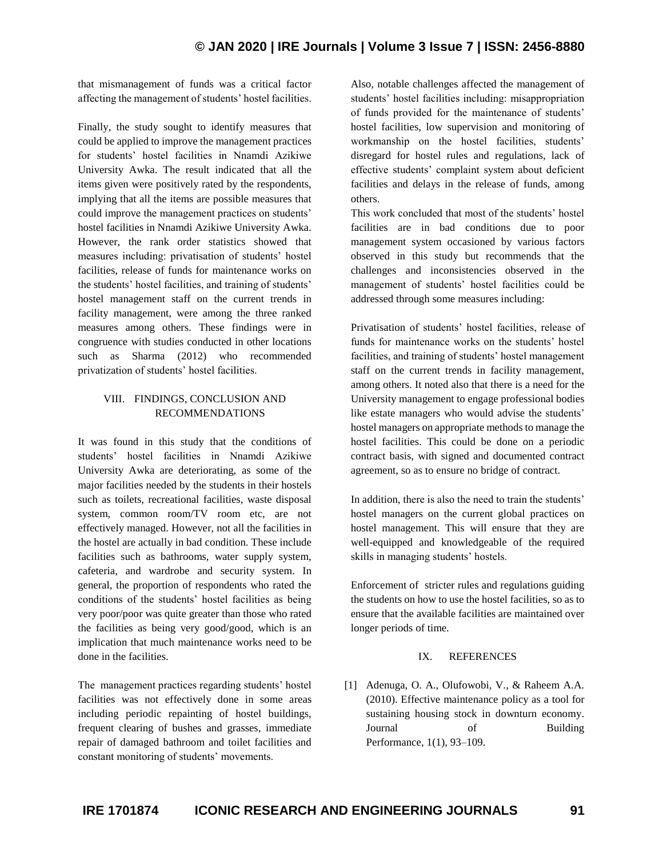# **© JAN 2020 | IRE Journals | Volume 3 Issue 7 | ISSN: 2456-8880**

that mismanagement of funds was a critical factor affecting the management of students' hostel facilities.

Finally, the study sought to identify measures that could be applied to improve the management practices for students' hostel facilities in Nnamdi Azikiwe University Awka. The result indicated that all the items given were positively rated by the respondents, implying that all the items are possible measures that could improve the management practices on students' hostel facilities in Nnamdi Azikiwe University Awka. However, the rank order statistics showed that measures including: privatisation of students' hostel facilities, release of funds for maintenance works on the students' hostel facilities, and training of students' hostel management staff on the current trends in facility management, were among the three ranked measures among others. These findings were in congruence with studies conducted in other locations such as Sharma (2012) who recommended privatization of students' hostel facilities.

## VIII. FINDINGS, CONCLUSION AND RECOMMENDATIONS

It was found in this study that the conditions of students' hostel facilities in Nnamdi Azikiwe University Awka are deteriorating, as some of the major facilities needed by the students in their hostels such as toilets, recreational facilities, waste disposal system, common room/TV room etc, are not effectively managed. However, not all the facilities in the hostel are actually in bad condition. These include facilities such as bathrooms, water supply system, cafeteria, and wardrobe and security system. In general, the proportion of respondents who rated the conditions of the students' hostel facilities as being very poor/poor was quite greater than those who rated the facilities as being very good/good, which is an implication that much maintenance works need to be done in the facilities.

The management practices regarding students' hostel facilities was not effectively done in some areas including periodic repainting of hostel buildings, frequent clearing of bushes and grasses, immediate repair of damaged bathroom and toilet facilities and constant monitoring of students' movements.

Also, notable challenges affected the management of students' hostel facilities including: misappropriation of funds provided for the maintenance of students' hostel facilities, low supervision and monitoring of workmanship on the hostel facilities, students' disregard for hostel rules and regulations, lack of effective students' complaint system about deficient facilities and delays in the release of funds, among others.

This work concluded that most of the students' hostel facilities are in bad conditions due to poor management system occasioned by various factors observed in this study but recommends that the challenges and inconsistencies observed in the management of students' hostel facilities could be addressed through some measures including:

Privatisation of students' hostel facilities, release of funds for maintenance works on the students' hostel facilities, and training of students' hostel management staff on the current trends in facility management, among others. It noted also that there is a need for the University management to engage professional bodies like estate managers who would advise the students' hostel managers on appropriate methods to manage the hostel facilities. This could be done on a periodic contract basis, with signed and documented contract agreement, so as to ensure no bridge of contract.

In addition, there is also the need to train the students' hostel managers on the current global practices on hostel management. This will ensure that they are well-equipped and knowledgeable of the required skills in managing students' hostels.

Enforcement of stricter rules and regulations guiding the students on how to use the hostel facilities, so as to ensure that the available facilities are maintained over longer periods of time.

## IX. REFERENCES

[1] Adenuga, O. A., Olufowobi, V., & Raheem A.A. (2010). Effective maintenance policy as a tool for sustaining housing stock in downturn economy. Journal of Building Performance, 1(1), 93–109.